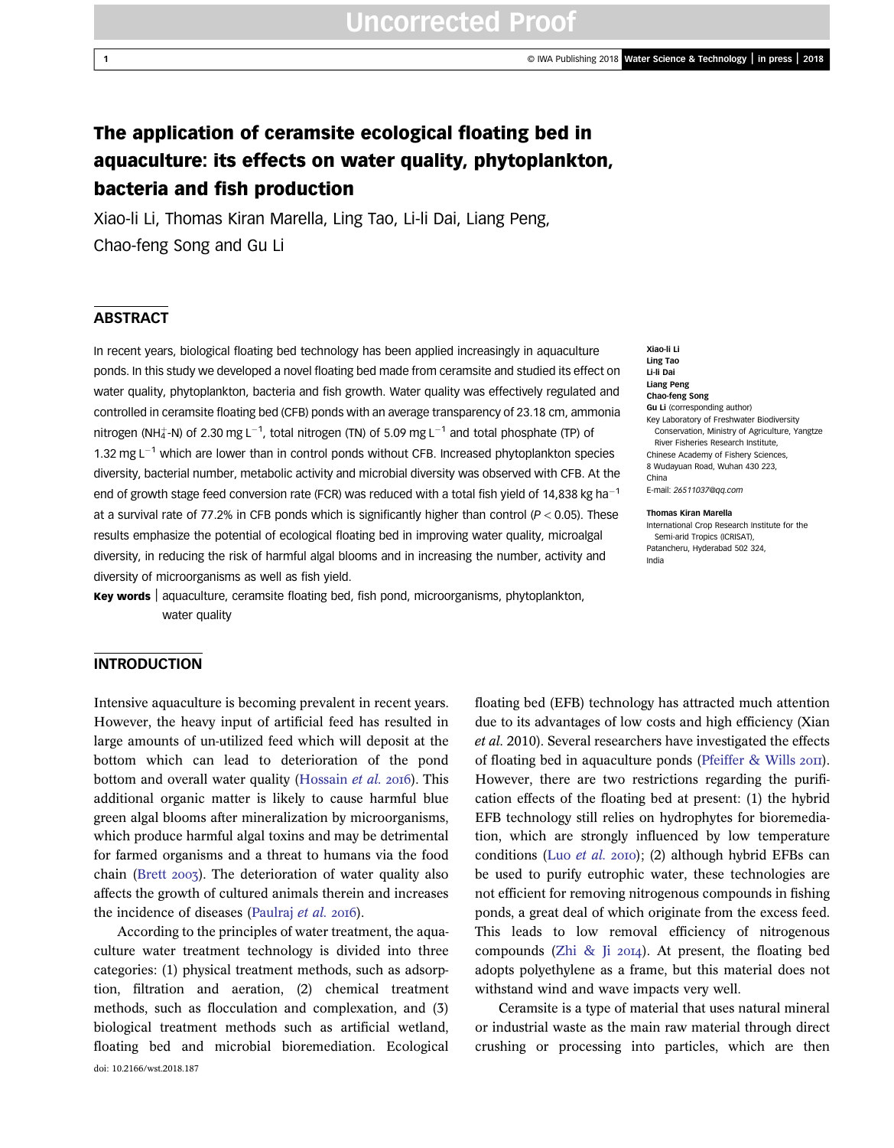# Uncorrected Proof

# The application of ceramsite ecological floating bed in aquaculture: its effects on water quality, phytoplankton, bacteria and fish production

Xiao-li Li, Thomas Kiran Marella, Ling Tao, Li-li Dai, Liang Peng, Chao-feng Song and Gu Li

### **ABSTRACT**

In recent years, biological floating bed technology has been applied increasingly in aquaculture ponds. In this study we developed a novel floating bed made from ceramsite and studied its effect on water quality, phytoplankton, bacteria and fish growth. Water quality was effectively regulated and controlled in ceramsite floating bed (CFB) ponds with an average transparency of 23.18 cm, ammonia nitrogen (NH $_4^+$ -N) of 2.30 mg L<sup>-1</sup>, total nitrogen (TN) of 5.09 mg L<sup>-1</sup> and total phosphate (TP) of 1.32 mg  $L^{-1}$  which are lower than in control ponds without CFB. Increased phytoplankton species diversity, bacterial number, metabolic activity and microbial diversity was observed with CFB. At the end of growth stage feed conversion rate (FCR) was reduced with a total fish yield of 14,838 kg ha<sup>-1</sup> at a survival rate of 77.2% in CFB ponds which is significantly higher than control ( $P < 0.05$ ). These results emphasize the potential of ecological floating bed in improving water quality, microalgal diversity, in reducing the risk of harmful algal blooms and in increasing the number, activity and diversity of microorganisms as well as fish yield.

Key words | aquaculture, ceramsite floating bed, fish pond, microorganisms, phytoplankton, water quality

#### Xiao-li Li Ling Tao Li-li Dai Liang Peng Chao-feng Song Gu Li (corresponding author) Key Laboratory of Freshwater Biodiversity Conservation, Ministry of Agriculture, Yangtze River Fisheries Research Institute, Chinese Academy of Fishery Sciences, 8 Wudayuan Road, Wuhan 430 223, China E-mail: [26511037@qq.com](mailto:26511037@qq.com)

#### Thomas Kiran Marella

International Crop Research Institute for the Semi-arid Tropics (ICRISAT). Patancheru, Hyderabad 502 324, India

# **INTRODUCTION**

Intensive aquaculture is becoming prevalent in recent years. However, the heavy input of artificial feed has resulted in large amounts of un-utilized feed which will deposit at the bottom which can lead to deterioration of the pond bottom and overall water quality [\(Hossain](#page-8-0) et al. 2016). This additional organic matter is likely to cause harmful blue green algal blooms after mineralization by microorganisms, which produce harmful algal toxins and may be detrimental for farmed organisms and a threat to humans via the food chain [\(Brett](#page-8-0) 2003). The deterioration of water quality also affects the growth of cultured animals therein and increases the incidence of diseases ([Paulraj](#page-8-0) et al. 2016).

According to the principles of water treatment, the aquaculture water treatment technology is divided into three categories: (1) physical treatment methods, such as adsorption, filtration and aeration, (2) chemical treatment methods, such as flocculation and complexation, and (3) biological treatment methods such as artificial wetland, floating bed and microbial bioremediation. Ecological doi: 10.2166/wst.2018.187

floating bed (EFB) technology has attracted much attention due to its advantages of low costs and high efficiency (Xian et al. 2010). Several researchers have investigated the effects of floating bed in aquaculture ponds [\(Pfeiffer & Wills](#page-8-0) 2011). However, there are two restrictions regarding the purification effects of the floating bed at present: (1) the hybrid EFB technology still relies on hydrophytes for bioremediation, which are strongly influenced by low temperature conditions (Luo [et al.](#page-8-0) 2010); (2) although hybrid EFBs can be used to purify eutrophic water, these technologies are not efficient for removing nitrogenous compounds in fishing ponds, a great deal of which originate from the excess feed. This leads to low removal efficiency of nitrogenous compounds ([Zhi & Ji](#page-9-0)  $20I4$ ). At present, the floating bed adopts polyethylene as a frame, but this material does not withstand wind and wave impacts very well.

Ceramsite is a type of material that uses natural mineral or industrial waste as the main raw material through direct crushing or processing into particles, which are then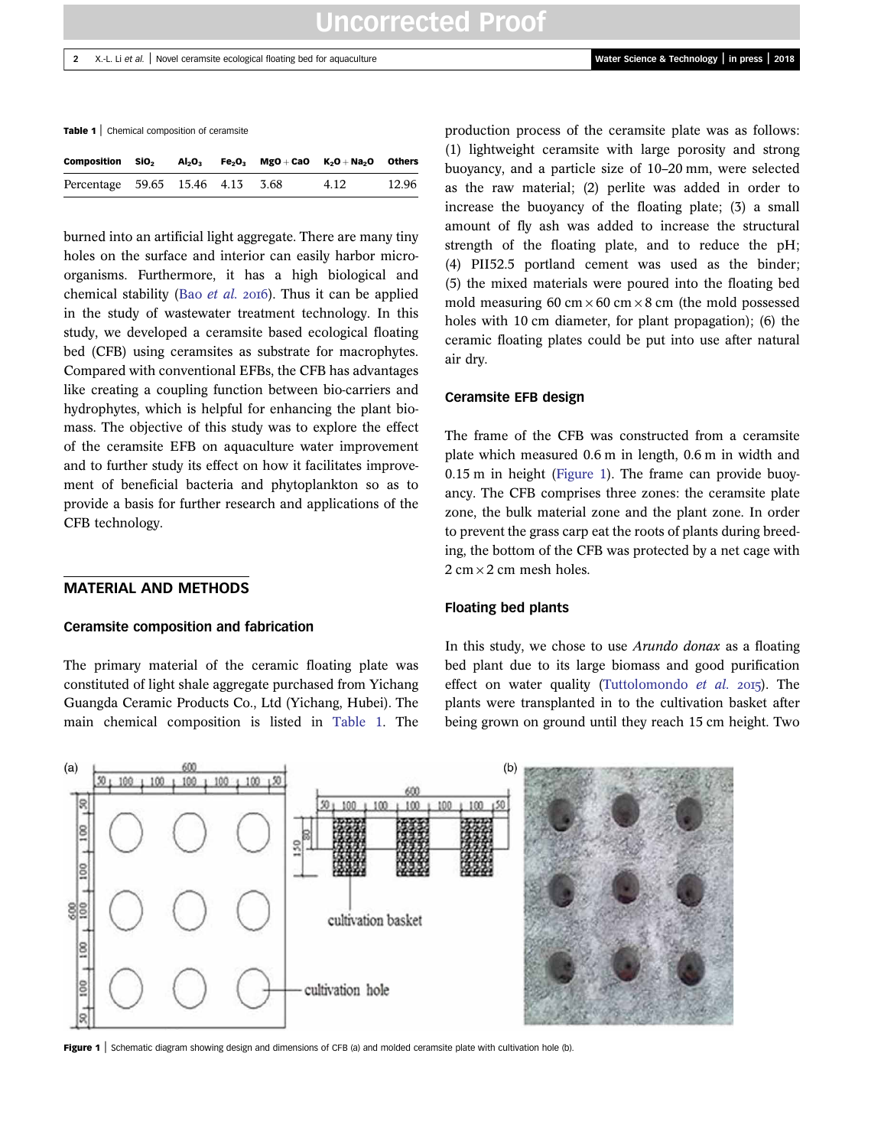Table 1 | Chemical composition of ceramsite

| Composition                      | SiO <sub>2</sub> | $\mathsf{Al}_2\mathsf{O}_3$ |  | $Fe2O3$ MgO + CaO $K2O + Na2O$ Others |       |
|----------------------------------|------------------|-----------------------------|--|---------------------------------------|-------|
| Percentage 59.65 15.46 4.13 3.68 |                  |                             |  | 4.12                                  | 12.96 |

burned into an artificial light aggregate. There are many tiny holes on the surface and interior can easily harbor microorganisms. Furthermore, it has a high biological and chemical stability (Bao [et al.](#page-8-0)  $2016$ ). Thus it can be applied in the study of wastewater treatment technology. In this study, we developed a ceramsite based ecological floating bed (CFB) using ceramsites as substrate for macrophytes. Compared with conventional EFBs, the CFB has advantages like creating a coupling function between bio-carriers and hydrophytes, which is helpful for enhancing the plant biomass. The objective of this study was to explore the effect of the ceramsite EFB on aquaculture water improvement and to further study its effect on how it facilitates improvement of beneficial bacteria and phytoplankton so as to provide a basis for further research and applications of the CFB technology.

# MATERIAL AND METHODS

#### Ceramsite composition and fabrication

The primary material of the ceramic floating plate was constituted of light shale aggregate purchased from Yichang Guangda Ceramic Products Co., Ltd (Yichang, Hubei). The main chemical composition is listed in Table 1. The production process of the ceramsite plate was as follows: (1) lightweight ceramsite with large porosity and strong buoyancy, and a particle size of 10–20 mm, were selected as the raw material; (2) perlite was added in order to increase the buoyancy of the floating plate; (3) a small amount of fly ash was added to increase the structural strength of the floating plate, and to reduce the pH; (4) PII52.5 portland cement was used as the binder; (5) the mixed materials were poured into the floating bed mold measuring 60 cm  $\times$  60 cm  $\times$  8 cm (the mold possessed holes with 10 cm diameter, for plant propagation); (6) the ceramic floating plates could be put into use after natural air dry.

#### Ceramsite EFB design

The frame of the CFB was constructed from a ceramsite plate which measured 0.6 m in length, 0.6 m in width and 0.15 m in height (Figure 1). The frame can provide buoyancy. The CFB comprises three zones: the ceramsite plate zone, the bulk material zone and the plant zone. In order to prevent the grass carp eat the roots of plants during breeding, the bottom of the CFB was protected by a net cage with  $2 \text{ cm} \times 2 \text{ cm}$  mesh holes.

#### Floating bed plants

In this study, we chose to use Arundo donax as a floating bed plant due to its large biomass and good purification effect on water quality [\(Tuttolomondo](#page-9-0)  $et$  al. 2015). The plants were transplanted in to the cultivation basket after being grown on ground until they reach 15 cm height. Two



Figure 1 Schematic diagram showing design and dimensions of CFB (a) and molded ceramsite plate with cultivation hole (b).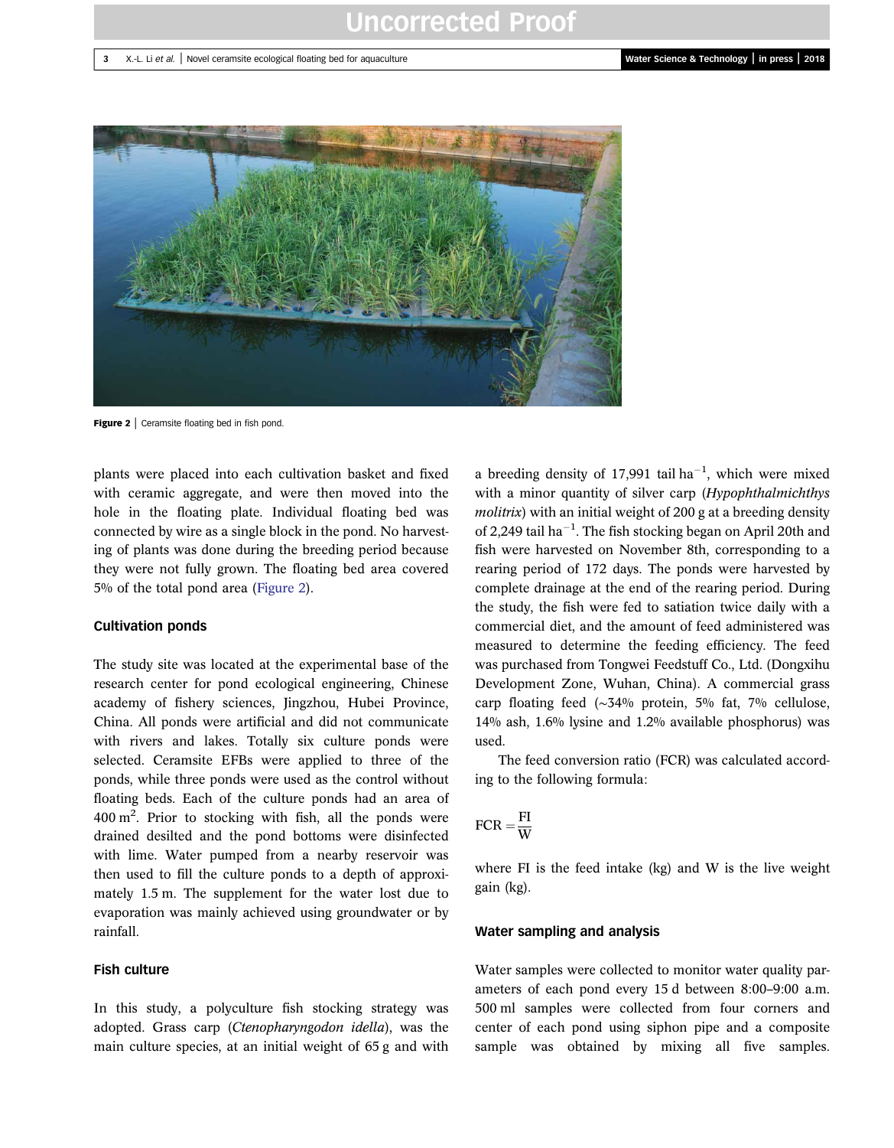# Uncorrected Proof

#### 3 X.-L. Li et al. | Novel ceramsite ecological floating bed for aquaculture Water Science & Technology | in press | 2018



Figure 2 | Ceramsite floating bed in fish pond.

plants were placed into each cultivation basket and fixed with ceramic aggregate, and were then moved into the hole in the floating plate. Individual floating bed was connected by wire as a single block in the pond. No harvesting of plants was done during the breeding period because they were not fully grown. The floating bed area covered 5% of the total pond area (Figure 2).

#### Cultivation ponds

The study site was located at the experimental base of the research center for pond ecological engineering, Chinese academy of fishery sciences, Jingzhou, Hubei Province, China. All ponds were artificial and did not communicate with rivers and lakes. Totally six culture ponds were selected. Ceramsite EFBs were applied to three of the ponds, while three ponds were used as the control without floating beds. Each of the culture ponds had an area of 400 m<sup>2</sup>. Prior to stocking with fish, all the ponds were drained desilted and the pond bottoms were disinfected with lime. Water pumped from a nearby reservoir was then used to fill the culture ponds to a depth of approximately 1.5 m. The supplement for the water lost due to evaporation was mainly achieved using groundwater or by rainfall.

### Fish culture

In this study, a polyculture fish stocking strategy was adopted. Grass carp (Ctenopharyngodon idella), was the main culture species, at an initial weight of 65 g and with

a breeding density of 17,991 tail  $ha^{-1}$ , which were mixed with a minor quantity of silver carp (Hypophthalmichthys molitrix) with an initial weight of 200 g at a breeding density of 2,249 tail ha<sup>-1</sup>. The fish stocking began on April 20th and fish were harvested on November 8th, corresponding to a rearing period of 172 days. The ponds were harvested by complete drainage at the end of the rearing period. During the study, the fish were fed to satiation twice daily with a commercial diet, and the amount of feed administered was measured to determine the feeding efficiency. The feed was purchased from Tongwei Feedstuff Co., Ltd. (Dongxihu Development Zone, Wuhan, China). A commercial grass carp floating feed (∼34% protein, 5% fat, 7% cellulose, 14% ash, 1.6% lysine and 1.2% available phosphorus) was used.

The feed conversion ratio (FCR) was calculated according to the following formula:

# $FCR = \frac{FI}{W}$

where FI is the feed intake (kg) and W is the live weight gain (kg).

#### Water sampling and analysis

Water samples were collected to monitor water quality parameters of each pond every 15 d between 8:00–9:00 a.m. 500 ml samples were collected from four corners and center of each pond using siphon pipe and a composite sample was obtained by mixing all five samples.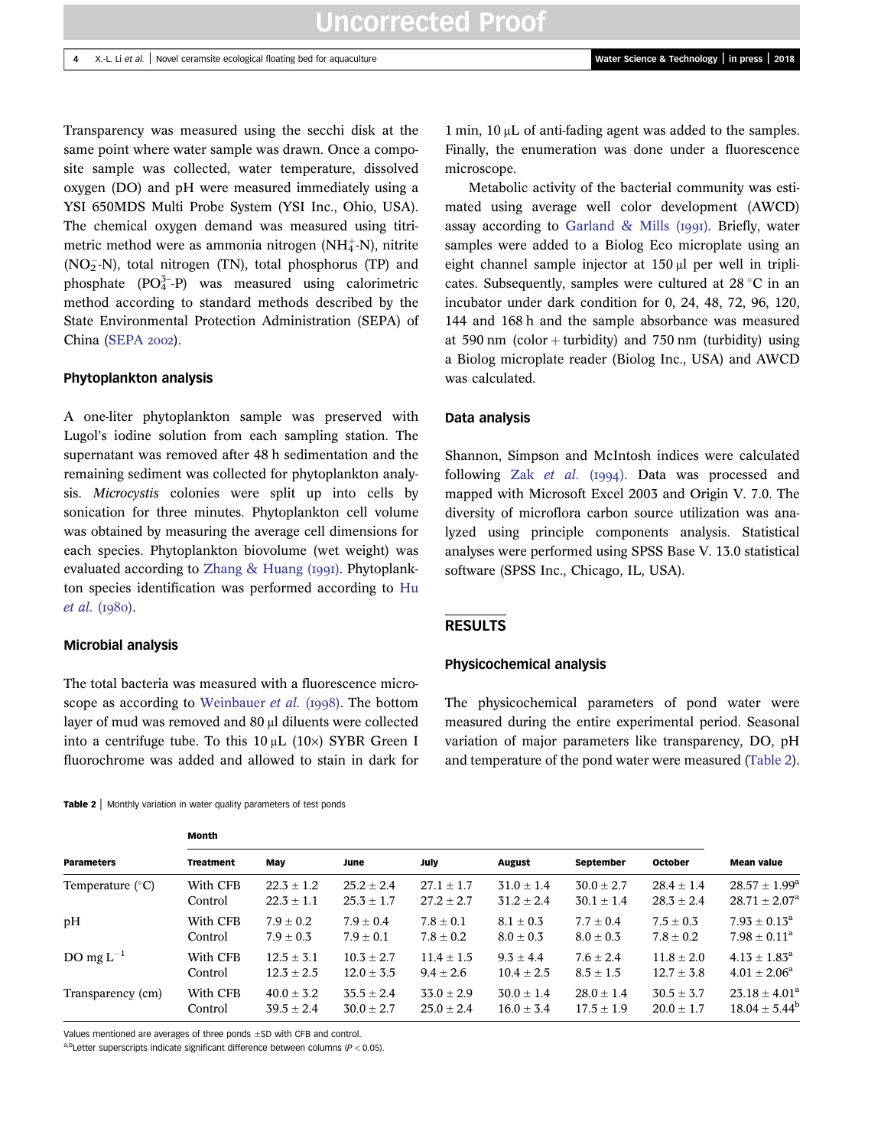Transparency was measured using the secchi disk at the same point where water sample was drawn. Once a composite sample was collected, water temperature, dissolved oxygen (DO) and pH were measured immediately using a YSI 650MDS Multi Probe System (YSI Inc., Ohio, USA). The chemical oxygen demand was measured using titrimetric method were as ammonia nitrogen (NH $_4^+$ -N), nitrite  $(NO<sub>2</sub><sup>-</sup>N)$ , total nitrogen (TN), total phosphorus (TP) and phosphate (PO<sub>4</sub><sup>-</sup>-P) was measured using calorimetric method according to standard methods described by the State Environmental Protection Administration (SEPA) of China [\(SEPA](#page-8-0) 2002).

#### Phytoplankton analysis

A one-liter phytoplankton sample was preserved with Lugol's iodine solution from each sampling station. The supernatant was removed after 48 h sedimentation and the remaining sediment was collected for phytoplankton analysis. Microcystis colonies were split up into cells by sonication for three minutes. Phytoplankton cell volume was obtained by measuring the average cell dimensions for each species. Phytoplankton biovolume (wet weight) was evaluated according to Zhang  $&$  Huang (1991). Phytoplankton species identification was performed according to [Hu](#page-8-0)  $et al. (I980).$  $et al. (I980).$ 

#### Microbial analysis

The total bacteria was measured with a fluorescence micro-scope as according to [Weinbauer](#page-9-0) et al. (1998). The bottom layer of mud was removed and 80 μl diluents were collected into a centrifuge tube. To this  $10 \mu L$  (10×) SYBR Green I fluorochrome was added and allowed to stain in dark for

Table 2 | Monthly variation in water quality parameters of test ponds Month

1 min, 10 μL of anti-fading agent was added to the samples. Finally, the enumeration was done under a fluorescence microscope.

Metabolic activity of the bacterial community was estimated using average well color development (AWCD) assay according to [Garland & Mills \(](#page-8-0) $IqqI$ ). Briefly, water samples were added to a Biolog Eco microplate using an eight channel sample injector at 150 μl per well in triplicates. Subsequently, samples were cultured at  $28 \degree C$  in an incubator under dark condition for 0, 24, 48, 72, 96, 120, 144 and 168 h and the sample absorbance was measured at 590 nm (color + turbidity) and 750 nm (turbidity) using a Biolog microplate reader (Biolog Inc., USA) and AWCD was calculated.

#### Data analysis

Shannon, Simpson and McIntosh indices were calculated following Zak [et al.](#page-9-0)  $(1994)$ . Data was processed and mapped with Microsoft Excel 2003 and Origin V. 7.0. The diversity of microflora carbon source utilization was analyzed using principle components analysis. Statistical analyses were performed using SPSS Base V. 13.0 statistical software (SPSS Inc., Chicago, IL, USA).

#### RESULTS

#### Physicochemical analysis

The physicochemical parameters of pond water were measured during the entire experimental period. Seasonal variation of major parameters like transparency, DO, pH and temperature of the pond water were measured (Table 2).

| MUHUL            |                |                |                |                |                |                |                          |  |
|------------------|----------------|----------------|----------------|----------------|----------------|----------------|--------------------------|--|
| <b>Treatment</b> | May            | June           | July           | <b>August</b>  | September      | October        | <b>Mean value</b>        |  |
| With CFB         | $22.3 \pm 1.2$ | $25.2 + 2.4$   | $27.1 + 1.7$   | $31.0 + 1.4$   | $30.0 \pm 2.7$ | $28.4 + 1.4$   | $28.57 + 1.99^a$         |  |
| Control          | $22.3 \pm 1.1$ | $25.3 \pm 1.7$ | $27.2 \pm 2.7$ | $31.2 \pm 2.4$ | $30.1 \pm 1.4$ | $28.3 \pm 2.4$ | $28.71 \pm 2.07^{\circ}$ |  |
| With CFB         | $7.9 + 0.2$    | $7.9 + 0.4$    | $7.8 + 0.1$    | $8.1 + 0.3$    | $7.7 \pm 0.4$  | $7.5 \pm 0.3$  | $7.93 \pm 0.13^a$        |  |
| Control          | $7.9 \pm 0.3$  | $7.9 \pm 0.1$  | $7.8 \pm 0.2$  | $8.0 \pm 0.3$  | $8.0 \pm 0.3$  | $7.8 \pm 0.2$  | $7.98 \pm 0.11^a$        |  |
| With CFB         | $12.5 \pm 3.1$ | $10.3 + 2.7$   | $11.4 \pm 1.5$ | $9.3 + 4.4$    | $7.6 \pm 2.4$  | $11.8 + 2.0$   | $4.13 \pm 1.83^{\rm a}$  |  |
| Control          | $12.3 \pm 2.5$ | $12.0 \pm 3.5$ | $9.4 \pm 2.6$  | $10.4 \pm 2.5$ | $8.5 \pm 1.5$  | $12.7 \pm 3.8$ | $4.01 \pm 2.06^a$        |  |
| With CFB         | $40.0 \pm 3.2$ | $35.5 + 2.4$   | $33.0 + 2.9$   | $30.0 \pm 1.4$ | $28.0 \pm 1.4$ | $30.5 \pm 3.7$ | $23.18 \pm 4.01^{\circ}$ |  |
| Control          | $39.5 \pm 2.4$ | $30.0 \pm 2.7$ | $25.0 \pm 2.4$ | $16.0 \pm 3.4$ | $17.5 \pm 1.9$ | $20.0 \pm 1.7$ | $18.04 \pm 5.44^b$       |  |
|                  |                |                |                |                |                |                |                          |  |

Values mentioned are averages of three ponds ±SD with CFB and control.

a,b<sub>Letter</sub> superscripts indicate significant difference between columns ( $P < 0.05$ ).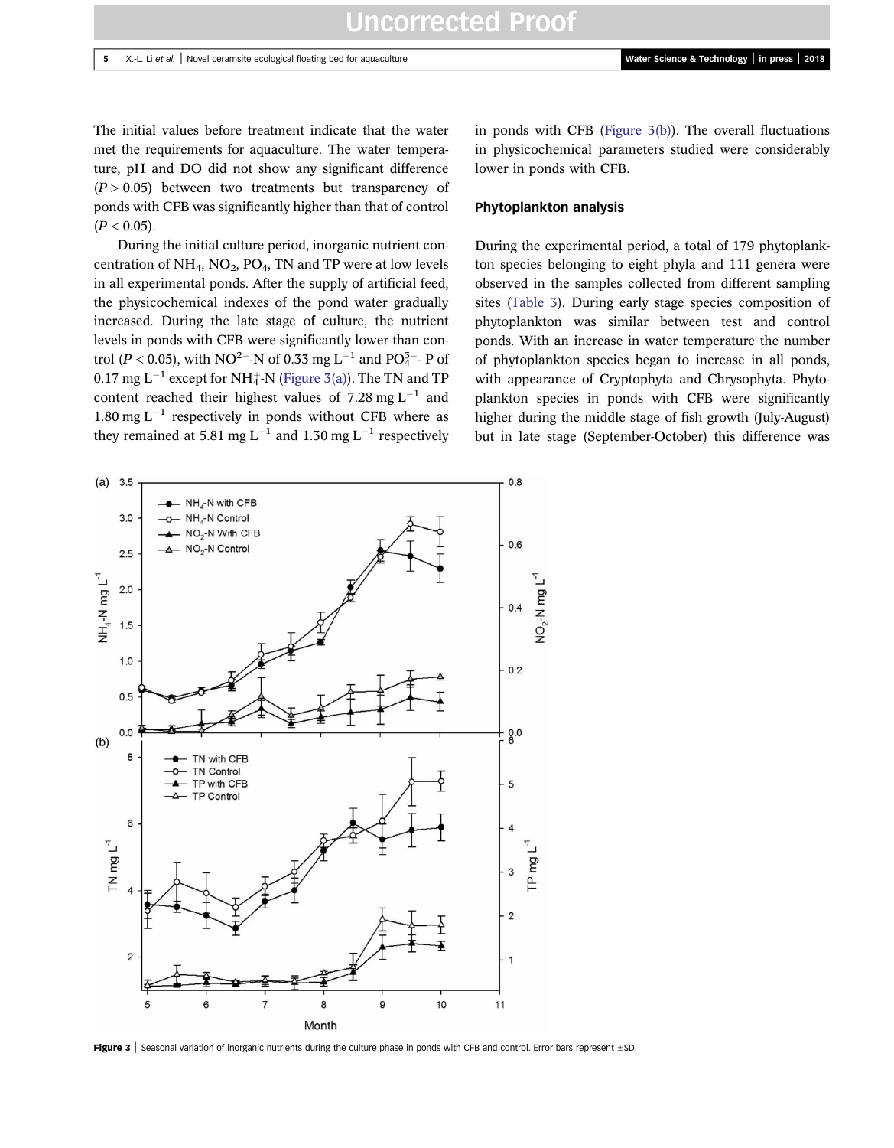The initial values before treatment indicate that the water met the requirements for aquaculture. The water temperature, pH and DO did not show any significant difference  $(P > 0.05)$  between two treatments but transparency of ponds with CFB was significantly higher than that of control  $(P < 0.05)$ .

During the initial culture period, inorganic nutrient concentration of  $NH_4$ ,  $NO_2$ ,  $PO_4$ , TN and TP were at low levels in all experimental ponds. After the supply of artificial feed, the physicochemical indexes of the pond water gradually increased. During the late stage of culture, the nutrient levels in ponds with CFB were significantly lower than control (P < 0.05), with NO<sup>2–</sup>-N of 0.33 mg L<sup>-1</sup> and PO<sub>4</sub><sup>3–</sup>- P of  $0.17~{\rm mg}~{\rm L}^{-1}$  except for NH $_4^+$ -N (Figure 3(a)). The TN and TP content reached their highest values of 7.28 mg  $L^{-1}$  and 1.80 mg  $L^{-1}$  respectively in ponds without CFB where as they remained at 5.81 mg L<sup>-1</sup> and 1.30 mg L<sup>-1</sup> respectively

in ponds with CFB (Figure  $3(b)$ ). The overall fluctuations in physicochemical parameters studied were considerably lower in ponds with CFB.

### Phytoplankton analysis

During the experimental period, a total of 179 phytoplankton species belonging to eight phyla and 111 genera were observed in the samples collected from different sampling sites ([Table 3](#page-5-0)). During early stage species composition of phytoplankton was similar between test and control ponds. With an increase in water temperature the number of phytoplankton species began to increase in all ponds, with appearance of Cryptophyta and Chrysophyta. Phytoplankton species in ponds with CFB were significantly higher during the middle stage of fish growth (July-August) but in late stage (September-October) this difference was



Figure 3 | Seasonal variation of inorganic nutrients during the culture phase in ponds with CFB and control. Error bars represent  $\pm$ SD.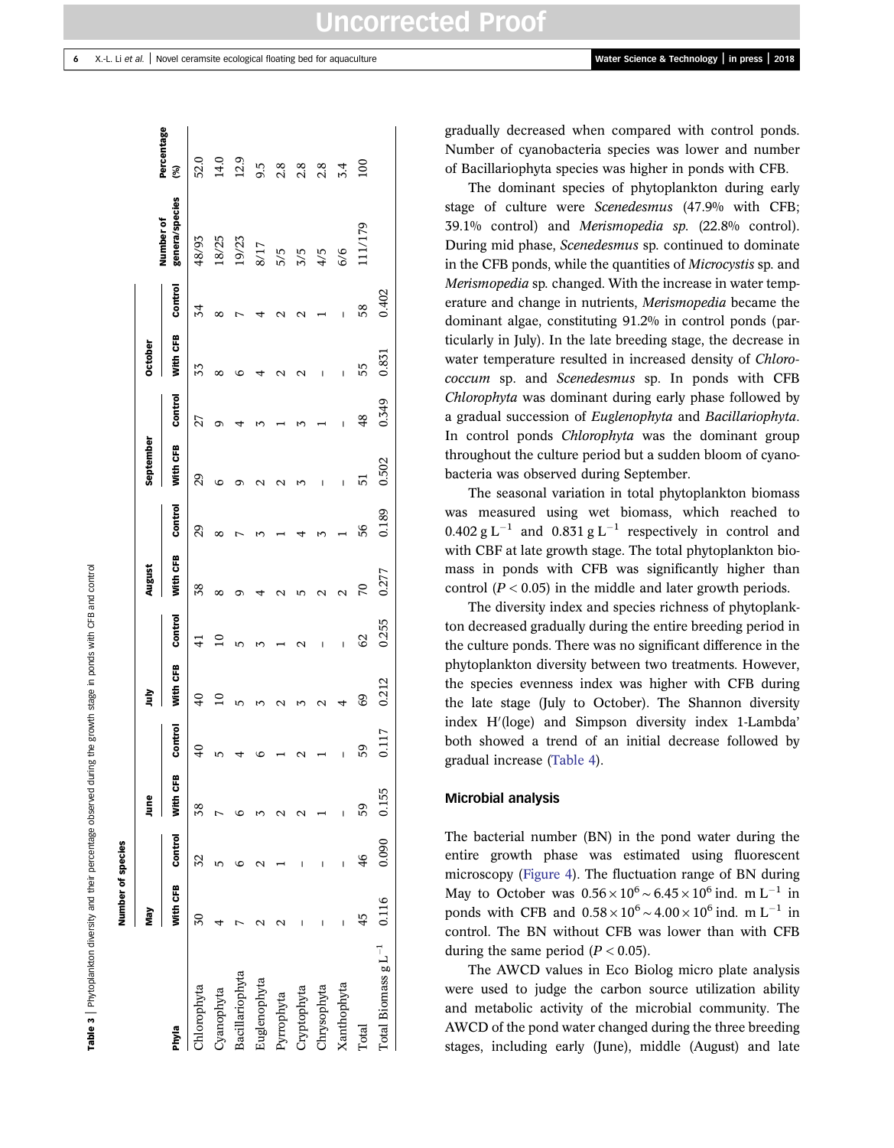Table 3 |Phytoplankton diversity and their percentage observed during the growth stage in ponds with CFB and control

Number of species

Number of species

<span id="page-5-0"></span>

|                                                           |                                                                                                    | June  |       |         | È              |                 | August         |         | September |                | October  |         |                             |                  |
|-----------------------------------------------------------|----------------------------------------------------------------------------------------------------|-------|-------|---------|----------------|-----------------|----------------|---------|-----------|----------------|----------|---------|-----------------------------|------------------|
| Phyla                                                     |                                                                                                    |       | m     | Control | With CFB       | Control         | With CFB       | Control | With CFB  | Control        | With CFB | Control | genera/species<br>Number of | Percentage<br>3  |
| lorophyta                                                 | <b>With CFB Control</b> With CFB<br>$\frac{30}{32}$ $\frac{38}{38}$<br>$\frac{4}{5}$ $\frac{5}{7}$ |       |       | 9       | $\overline{4}$ | $\overline{4}$  | 38             | 29      | 29        | 27             | 33       | 34      | 48/93                       | 52.0             |
| Cyanophyta                                                |                                                                                                    |       |       |         |                |                 |                |         |           |                |          |         | 18/25                       | 14.0<br>12.9     |
|                                                           |                                                                                                    |       |       |         |                |                 |                |         |           |                |          |         | 19/23                       |                  |
|                                                           |                                                                                                    |       |       |         |                |                 |                |         |           |                |          |         | 8/17                        | 9.5              |
| Bacillariophyta<br>Euglenophyta<br>Pyrrophyta             |                                                                                                    |       |       |         |                |                 |                |         |           |                |          |         | 5/5                         | 2.8              |
| cryptophyta                                               |                                                                                                    |       |       |         |                |                 |                |         |           |                |          |         | $3/5$<br>$4/5$<br>$6/6$     | 2.8              |
| $\boldsymbol{\Delta}$ in the set of $\boldsymbol{\Delta}$ |                                                                                                    |       |       |         |                |                 |                |         |           |                |          |         |                             | 2.8              |
| Xanthophyta                                               |                                                                                                    |       |       |         |                |                 |                |         |           |                |          | Ī       |                             | $\overline{3.4}$ |
| Total                                                     | 45                                                                                                 | 46    | 59    | 59      | 69             | $\overline{62}$ | $\overline{2}$ | 56      | 51        | $\frac{48}{5}$ | 55       | 58      | 11/179                      | $\overline{100}$ |
| Total Biomass $g L^{-1}$ 0.116                            |                                                                                                    | 0.090 | 0.155 | 0.117   | 0.212          | 0.255           | 0.277          | 0.189   | 0.502     | 0.349          | 0.831    | 0.402   |                             |                  |

gradually decreased when compared with control ponds. Number of cyanobacteria species was lower and number of Bacillariophyta species was higher in ponds with CFB.

The dominant species of phytoplankton during early stage of culture were Scenedesmus (47.9% with CFB; 39.1% control) and Merismopedia sp. (22.8% control). During mid phase, Scenedesmus sp. continued to dominate in the CFB ponds, while the quantities of Microcystis sp. and Merismopedia sp. changed. With the increase in water temperature and change in nutrients, Merismopedia became the dominant algae, constituting 91.2% in control ponds (particularly in July). In the late breeding stage, the decrease in water temperature resulted in increased density of Chlorococcum sp. and Scenedesmus sp. In ponds with CFB Chlorophyta was dominant during early phase followed by a gradual succession of Euglenophyta and Bacillariophyta. In control ponds *Chlorophyta* was the dominant group throughout the culture period but a sudden bloom of cyanobacteria was observed during September.

The seasonal variation in total phytoplankton biomass was measured using wet biomass, which reached to  $0.402 \text{ g L}^{-1}$  and  $0.831 \text{ g L}^{-1}$  respectively in control and with CBF at late growth stage. The total phytoplankton biomass in ponds with CFB was significantly higher than control  $(P < 0.05)$  in the middle and later growth periods.

The diversity index and species richness of phytoplankton decreased gradually during the entire breeding period in the culture ponds. There was no significant difference in the phytoplankton diversity between two treatments. However, the species evenness index was higher with CFB during the late stage (July to October). The Shannon diversity index H'(loge) and Simpson diversity index 1-Lambda' both showed a trend of an initial decrease followed by gradual increase [\(Table 4](#page-6-0)).

### Microbial analysis

The bacterial number (BN) in the pond water during the entire growth phase was estimated using fluorescent microscopy ([Figure 4](#page-6-0)). The fluctuation range of BN during May to October was  $0.56 \times 10^6 \sim 6.45 \times 10^6$  ind. m L<sup>-1</sup> in ponds with CFB and  $0.58 \times 10^6 \sim 4.00 \times 10^6$  ind. m L<sup>-1</sup> in control. The BN without CFB was lower than with CFB during the same period  $(P < 0.05)$ .

The AWCD values in Eco Biolog micro plate analysis were used to judge the carbon source utilization ability and metabolic activity of the microbial community. The AWCD of the pond water changed during the three breeding stages, including early (June), middle (August) and late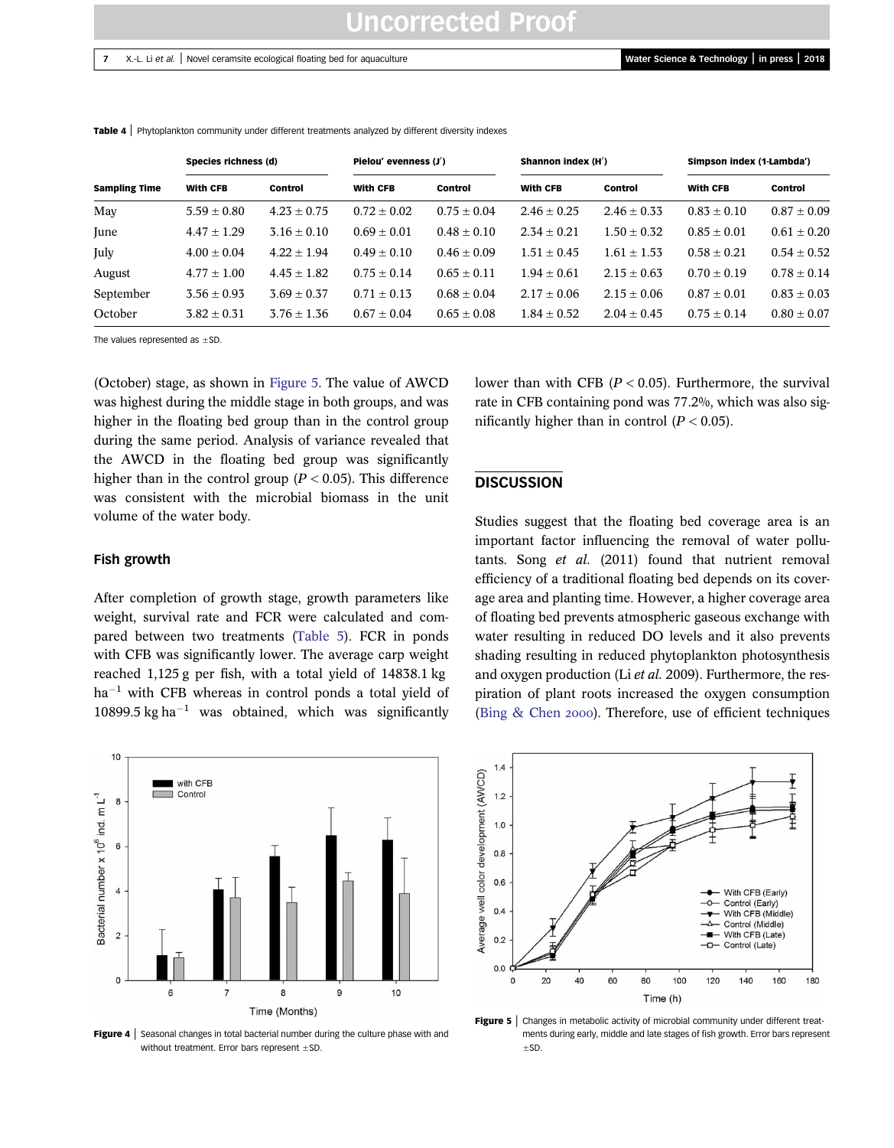# Uncorrected Proof

### <span id="page-6-0"></span>7 X.-L. Li et al. | Novel ceramsite ecological floating bed for aquaculture Water Science & Technology | in press | 2018

|                      | Species richness (d) |                 | Pielou' evenness $(J')$ |                 | Shannon index $(H')$ |                 | Simpson index (1-Lambda') |                 |
|----------------------|----------------------|-----------------|-------------------------|-----------------|----------------------|-----------------|---------------------------|-----------------|
| <b>Sampling Time</b> | <b>With CFB</b>      | Control         | <b>With CFB</b>         | Control         | <b>With CFB</b>      | Control         | <b>With CFB</b>           | Control         |
| May                  | $5.59 \pm 0.80$      | $4.23 + 0.75$   | $0.72 + 0.02$           | $0.75 \pm 0.04$ | $2.46 \pm 0.25$      | $2.46 \pm 0.33$ | $0.83 \pm 0.10$           | $0.87 + 0.09$   |
| June                 | $4.47 \pm 1.29$      | $3.16 \pm 0.10$ | $0.69 + 0.01$           | $0.48 \pm 0.10$ | $2.34 \pm 0.21$      | $1.50 \pm 0.32$ | $0.85 \pm 0.01$           | $0.61 \pm 0.20$ |
| July                 | $4.00 + 0.04$        | $4.22 + 1.94$   | $0.49 \pm 0.10$         | $0.46 \pm 0.09$ | $1.51 \pm 0.45$      | $1.61 + 1.53$   | $0.58 \pm 0.21$           | $0.54 + 0.52$   |
| August               | $4.77 \pm 1.00$      | $4.45 \pm 1.82$ | $0.75 \pm 0.14$         | $0.65 \pm 0.11$ | $1.94 \pm 0.61$      | $2.15 + 0.63$   | $0.70 \pm 0.19$           | $0.78 \pm 0.14$ |
| September            | $3.56 + 0.93$        | $3.69 + 0.37$   | $0.71 \pm 0.13$         | $0.68 \pm 0.04$ | $2.17 \pm 0.06$      | $2.15 \pm 0.06$ | $0.87 \pm 0.01$           | $0.83 \pm 0.03$ |
| October              | $3.82 + 0.31$        | $3.76 \pm 1.36$ | $0.67 + 0.04$           | $0.65 \pm 0.08$ | $1.84 \pm 0.52$      | $2.04 + 0.45$   | $0.75 \pm 0.14$           | $0.80 \pm 0.07$ |

Table 4 | Phytoplankton community under different treatments analyzed by different diversity indexes

The values represented as  $\pm$ SD.

(October) stage, as shown in Figure 5. The value of AWCD was highest during the middle stage in both groups, and was higher in the floating bed group than in the control group during the same period. Analysis of variance revealed that the AWCD in the floating bed group was significantly higher than in the control group ( $P < 0.05$ ). This difference was consistent with the microbial biomass in the unit volume of the water body.

# lower than with CFB ( $P < 0.05$ ). Furthermore, the survival rate in CFB containing pond was 77.2%, which was also significantly higher than in control  $(P < 0.05)$ .

### **DISCUSSION**

Fish growth

After completion of growth stage, growth parameters like weight, survival rate and FCR were calculated and compared between two treatments [\(Table 5\)](#page-7-0). FCR in ponds with CFB was significantly lower. The average carp weight reached 1,125 g per fish, with a total yield of 14838.1 kg ha<sup>-1</sup> with CFB whereas in control ponds a total yield of  $10899.5$  kg ha<sup>-1</sup> was obtained, which was significantly



**Figure 4** Seasonal changes in total bacterial number during the culture phase with and without treatment. Error bars represent  $\pm$ SD.

Studies suggest that the floating bed coverage area is an important factor influencing the removal of water pollutants. Song et al. (2011) found that nutrient removal efficiency of a traditional floating bed depends on its coverage area and planting time. However, a higher coverage area of floating bed prevents atmospheric gaseous exchange with water resulting in reduced DO levels and it also prevents shading resulting in reduced phytoplankton photosynthesis and oxygen production (Li et al. 2009). Furthermore, the respiration of plant roots increased the oxygen consumption (Bing  $&$  Chen 2000). Therefore, use of efficient techniques



Figure 5 | Changes in metabolic activity of microbial community under different treatments during early, middle and late stages of fish growth. Error bars represent ±SD.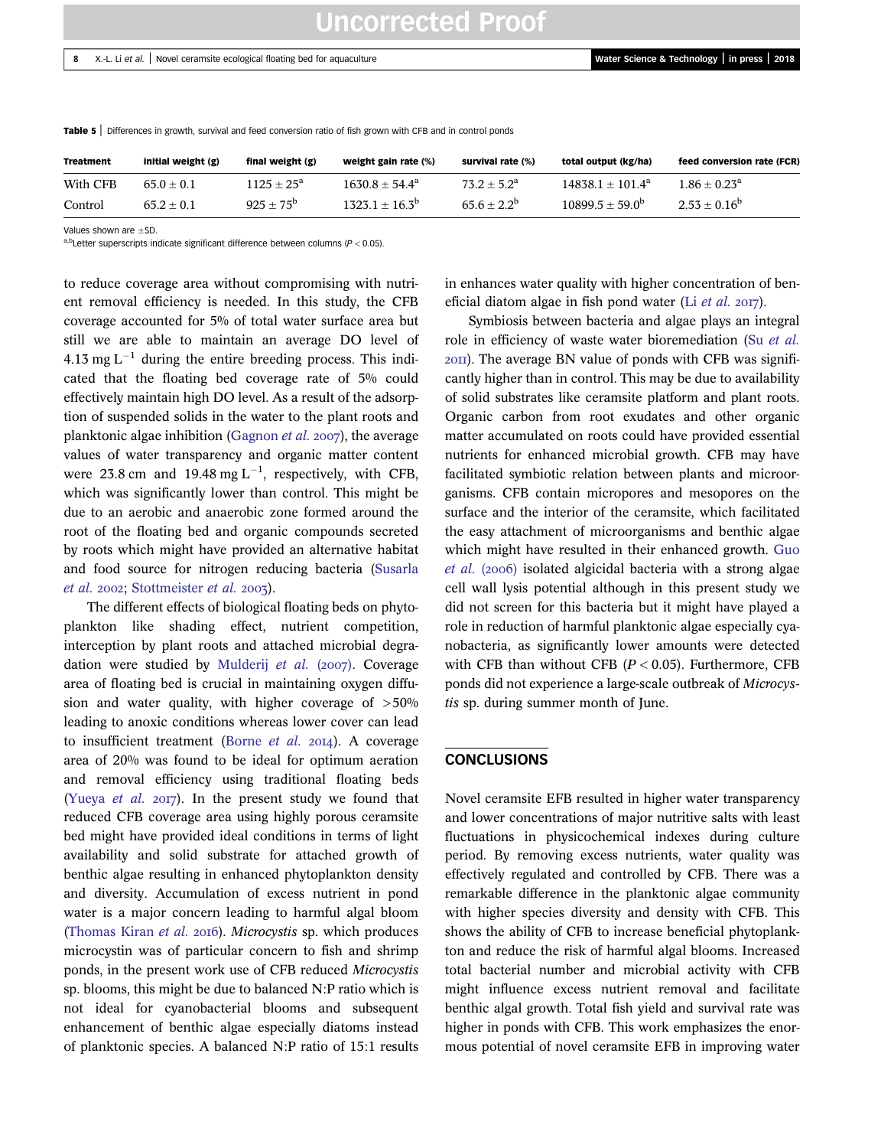| <b>Treatment</b> | initial weight (g) | final weight (g)    | weight gain rate (%)    | survival rate (%)    | total output (kg/ha)     | feed conversion rate (FCR) |
|------------------|--------------------|---------------------|-------------------------|----------------------|--------------------------|----------------------------|
| With CFB         | $65.0 + 0.1$       | $1125 + 25^{\circ}$ | $1630.8 + 54.4^a$       | $73.2 + 5.2^{\rm a}$ | $14838.1 + 101.4^a$      | $1.86 \pm 0.23^{\circ}$    |
| Control          | $65.2 + 0.1$       | $925 + 75^{\circ}$  | $1323.1 + 16.3^{\circ}$ | $65.6 + 2.2^b$       | $10899.5 + 59.0^{\circ}$ | $2.53 \pm 0.16^{\circ}$    |

<span id="page-7-0"></span>Table 5 | Differences in growth, survival and feed conversion ratio of fish grown with CFB and in control ponds

Values shown are  $\pm$ SD.

a,b<sub>Letter</sub> superscripts indicate significant difference between columns ( $P < 0.05$ ).

to reduce coverage area without compromising with nutrient removal efficiency is needed. In this study, the CFB coverage accounted for 5% of total water surface area but still we are able to maintain an average DO level of 4.13 mg  $L^{-1}$  during the entire breeding process. This indicated that the floating bed coverage rate of 5% could effectively maintain high DO level. As a result of the adsorption of suspended solids in the water to the plant roots and planktonic algae inhibition [\(Gagnon](#page-8-0) *et al.* 2007), the average values of water transparency and organic matter content were 23.8 cm and 19.48 mg  $L^{-1}$ , respectively, with CFB, which was significantly lower than control. This might be due to an aerobic and anaerobic zone formed around the root of the floating bed and organic compounds secreted by roots which might have provided an alternative habitat and food source for nitrogen reducing bacteria ([Susarla](#page-8-0) [et al.](#page-8-0) 2002; [Stottmeister](#page-8-0) et al. 2003).

The different effects of biological floating beds on phytoplankton like shading effect, nutrient competition, interception by plant roots and attached microbial degra-dation were studied by [Mulderij](#page-8-0) et al.  $(2007)$ . Coverage area of floating bed is crucial in maintaining oxygen diffusion and water quality, with higher coverage of  $>50\%$ leading to anoxic conditions whereas lower cover can lead to insufficient treatment ([Borne](#page-8-0) et al.  $2014$ ). A coverage area of 20% was found to be ideal for optimum aeration and removal efficiency using traditional floating beds ([Yueya](#page-9-0) *et al.* 2017). In the present study we found that reduced CFB coverage area using highly porous ceramsite bed might have provided ideal conditions in terms of light availability and solid substrate for attached growth of benthic algae resulting in enhanced phytoplankton density and diversity. Accumulation of excess nutrient in pond water is a major concern leading to harmful algal bloom ([Thomas Kiran](#page-9-0) et al. 2016). Microcystis sp. which produces microcystin was of particular concern to fish and shrimp ponds, in the present work use of CFB reduced Microcystis sp. blooms, this might be due to balanced N:P ratio which is not ideal for cyanobacterial blooms and subsequent enhancement of benthic algae especially diatoms instead of planktonic species. A balanced N:P ratio of 15:1 results in enhances water quality with higher concentration of beneficial diatom algae in fish pond water (Li  $et$  al.  $2017$ ).

Symbiosis between bacteria and algae plays an integral role in efficiency of waste water bioremediation (Su [et al.](#page-8-0) ). The average BN value of ponds with CFB was significantly higher than in control. This may be due to availability of solid substrates like ceramsite platform and plant roots. Organic carbon from root exudates and other organic matter accumulated on roots could have provided essential nutrients for enhanced microbial growth. CFB may have facilitated symbiotic relation between plants and microorganisms. CFB contain micropores and mesopores on the surface and the interior of the ceramsite, which facilitated the easy attachment of microorganisms and benthic algae which might have resulted in their enhanced growth. [Guo](#page-8-0)  $et \ al. (2006)$  isolated algicidal bacteria with a strong algae cell wall lysis potential although in this present study we did not screen for this bacteria but it might have played a role in reduction of harmful planktonic algae especially cyanobacteria, as significantly lower amounts were detected with CFB than without CFB  $(P < 0.05)$ . Furthermore, CFB ponds did not experience a large-scale outbreak of Microcystis sp. during summer month of June.

#### **CONCLUSIONS**

Novel ceramsite EFB resulted in higher water transparency and lower concentrations of major nutritive salts with least fluctuations in physicochemical indexes during culture period. By removing excess nutrients, water quality was effectively regulated and controlled by CFB. There was a remarkable difference in the planktonic algae community with higher species diversity and density with CFB. This shows the ability of CFB to increase beneficial phytoplankton and reduce the risk of harmful algal blooms. Increased total bacterial number and microbial activity with CFB might influence excess nutrient removal and facilitate benthic algal growth. Total fish yield and survival rate was higher in ponds with CFB. This work emphasizes the enormous potential of novel ceramsite EFB in improving water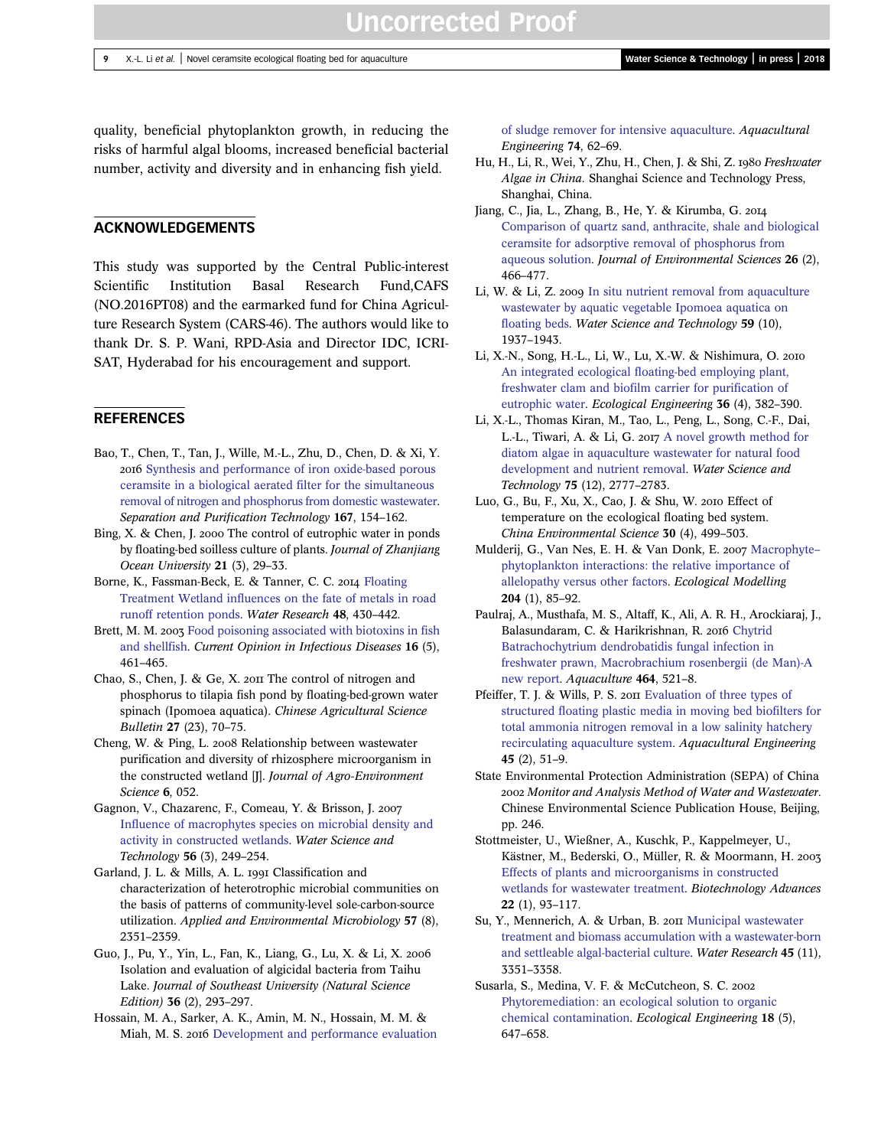<span id="page-8-0"></span>quality, beneficial phytoplankton growth, in reducing the risks of harmful algal blooms, increased beneficial bacterial number, activity and diversity and in enhancing fish yield.

## ACKNOWLEDGEMENTS

This study was supported by the Central Public-interest Scientific Institution Basal Research Fund,CAFS (NO.2016PT08) and the earmarked fund for China Agriculture Research System (CARS-46). The authors would like to thank Dr. S. P. Wani, RPD-Asia and Director IDC, ICRI-SAT, Hyderabad for his encouragement and support.

## **REFERENCES**

- Bao, T., Chen, T., Tan, J., Wille, M.-L., Zhu, D., Chen, D. & Xi, Y. 2016 [Synthesis and performance of iron oxide-based porous](http://dx.doi.org/10.1016/j.seppur.2016.05.011) [ceramsite in a biological aerated filter for the simultaneous](http://dx.doi.org/10.1016/j.seppur.2016.05.011) [removal of nitrogen and phosphorus from domestic wastewater](http://dx.doi.org/10.1016/j.seppur.2016.05.011). Separation and Purification Technology 167, 154–162.
- Bing, X. & Chen, J. 2000 The control of eutrophic water in ponds by floating-bed soilless culture of plants. Journal of Zhanjiang Ocean University 21 (3), 29–33.
- Borne, K., Fassman-Beck, E. & Tanner, C. C. 2014 [Floating](http://dx.doi.org/10.1016/j.watres.2013.09.056) [Treatment Wetland influences on the fate of metals in road](http://dx.doi.org/10.1016/j.watres.2013.09.056) [runoff retention ponds.](http://dx.doi.org/10.1016/j.watres.2013.09.056) Water Research 48, 430–442.
- Brett, M. M. 2003 [Food poisoning associated with biotoxins in fish](http://dx.doi.org/10.1097/00001432-200310000-00013) [and shellfish.](http://dx.doi.org/10.1097/00001432-200310000-00013) Current Opinion in Infectious Diseases 16 (5), 461–465.
- Chao, S., Chen, J. & Ge, X. 2011 The control of nitrogen and phosphorus to tilapia fish pond by floating-bed-grown water spinach (Ipomoea aquatica). Chinese Agricultural Science Bulletin 27 (23), 70–75.
- Cheng, W. & Ping, L. 2008 Relationship between wastewater purification and diversity of rhizosphere microorganism in the constructed wetland [J]. Journal of Agro-Environment Science 6, 052.
- Gagnon, V., Chazarenc, F., Comeau, Y. & Brisson, J. [Influence of macrophytes species on microbial density and](http://dx.doi.org/10.2166/wst.2007.510) [activity in constructed wetlands.](http://dx.doi.org/10.2166/wst.2007.510) Water Science and Technology 56 (3), 249–254.
- Garland, J. L. & Mills, A. L. 1991 Classification and characterization of heterotrophic microbial communities on the basis of patterns of community-level sole-carbon-source utilization. Applied and Environmental Microbiology 57 (8), 2351–2359.
- Guo, J., Pu, Y., Yin, L., Fan, K., Liang, G., Lu, X. & Li, X. Isolation and evaluation of algicidal bacteria from Taihu Lake. Journal of Southeast University (Natural Science Edition) 36 (2), 293–297.
- Hossain, M. A., Sarker, A. K., Amin, M. N., Hossain, M. M. & Miah, M. S. 2016 [Development and performance evaluation](http://dx.doi.org/10.1016/j.aquaeng.2016.06.001)

[of sludge remover for intensive aquaculture](http://dx.doi.org/10.1016/j.aquaeng.2016.06.001). Aquacultural Engineering 74, 62–69.

- Hu, H., Li, R., Wei, Y., Zhu, H., Chen, J. & Shi, Z. 1980 Freshwater Algae in China. Shanghai Science and Technology Press, Shanghai, China.
- Jiang, C., Jia, L., Zhang, B., He, Y. & Kirumba, G. [Comparison of quartz sand, anthracite, shale and biological](http://dx.doi.org/10.1016/S1001-0742(13)60410-6) [ceramsite for adsorptive removal of phosphorus from](http://dx.doi.org/10.1016/S1001-0742(13)60410-6) [aqueous solution](http://dx.doi.org/10.1016/S1001-0742(13)60410-6). Journal of Environmental Sciences 26 (2), 466–477.
- Li, W. & Li, Z. 2009 [In situ nutrient removal from aquaculture](http://dx.doi.org/10.2166/wst.2009.191) [wastewater by aquatic vegetable Ipomoea aquatica on](http://dx.doi.org/10.2166/wst.2009.191) [floating beds](http://dx.doi.org/10.2166/wst.2009.191). Water Science and Technology 59 (10), 1937–1943.
- Li, X.-N., Song, H.-L., Li, W., Lu, X.-W. & Nishimura, O. [An integrated ecological floating-bed employing plant,](http://dx.doi.org/10.1016/j.ecoleng.2009.11.004) [freshwater clam and biofilm carrier for purification of](http://dx.doi.org/10.1016/j.ecoleng.2009.11.004) [eutrophic water](http://dx.doi.org/10.1016/j.ecoleng.2009.11.004). Ecological Engineering 36 (4), 382–390.
- Li, X.-L., Thomas Kiran, M., Tao, L., Peng, L., Song, C.-F., Dai, L.-L., Tiwari, A. & Li, G. 2017 [A novel growth method for](http://dx.doi.org/10.2166/wst.2017.156) [diatom algae in aquaculture wastewater for natural food](http://dx.doi.org/10.2166/wst.2017.156) [development and nutrient removal.](http://dx.doi.org/10.2166/wst.2017.156) Water Science and Technology 75 (12), 2777–2783.
- Luo, G., Bu, F., Xu, X., Cao, J. & Shu, W. 2010 Effect of temperature on the ecological floating bed system. China Environmental Science 30 (4), 499–503.
- Mulderij, G., Van Nes, E. H. & Van Donk, E. 2007 [Macrophyte](http://dx.doi.org/10.1016/j.ecolmodel.2006.12.020)[phytoplankton interactions: the relative importance of](http://dx.doi.org/10.1016/j.ecolmodel.2006.12.020) [allelopathy versus other factors](http://dx.doi.org/10.1016/j.ecolmodel.2006.12.020). Ecological Modelling 204 (1), 85–92.
- Paulraj, A., Musthafa, M. S., Altaff, K., Ali, A. R. H., Arockiaraj, J., Balasundaram, C. & Harikrishnan, R. 2016 [Chytrid](http://dx.doi.org/10.1016/j.aquaculture.2016.07.035) [Batrachochytrium dendrobatidis fungal infection in](http://dx.doi.org/10.1016/j.aquaculture.2016.07.035) [freshwater prawn, Macrobrachium rosenbergii \(de Man\)-A](http://dx.doi.org/10.1016/j.aquaculture.2016.07.035) [new report.](http://dx.doi.org/10.1016/j.aquaculture.2016.07.035) Aquaculture 464, 521–8.
- Pfeiffer, T. J. & Wills, P. S. 2011 [Evaluation of three types of](http://dx.doi.org/10.1016/j.aquaeng.2011.06.003) [structured floating plastic media in moving bed biofilters for](http://dx.doi.org/10.1016/j.aquaeng.2011.06.003) [total ammonia nitrogen removal in a low salinity hatchery](http://dx.doi.org/10.1016/j.aquaeng.2011.06.003) [recirculating aquaculture system.](http://dx.doi.org/10.1016/j.aquaeng.2011.06.003) Aquacultural Engineering 45 (2), 51–9.
- State Environmental Protection Administration (SEPA) of China 2002 Monitor and Analysis Method of Water and Wastewater. Chinese Environmental Science Publication House, Beijing, pp. 246.
- Stottmeister, U., Wießner, A., Kuschk, P., Kappelmeyer, U., Kästner, M., Bederski, O., Müller, R. & Moormann, H. [Effects of plants and microorganisms in constructed](http://dx.doi.org/10.1016/j.biotechadv.2003.08.010) [wetlands for wastewater treatment.](http://dx.doi.org/10.1016/j.biotechadv.2003.08.010) Biotechnology Advances 22 (1), 93–117.
- Su, Y., Mennerich, A. & Urban, B. 2011 [Municipal wastewater](http://dx.doi.org/10.1016/j.watres.2011.03.046) [treatment and biomass accumulation with a wastewater-born](http://dx.doi.org/10.1016/j.watres.2011.03.046) [and settleable algal-bacterial culture.](http://dx.doi.org/10.1016/j.watres.2011.03.046) Water Research 45 (11), 3351–3358.
- Susarla, S., Medina, V. F. & McCutcheon, S. C. [Phytoremediation: an ecological solution to organic](http://dx.doi.org/10.1016/S0925-8574(02)00026-5) [chemical contamination.](http://dx.doi.org/10.1016/S0925-8574(02)00026-5) Ecological Engineering 18 (5), 647–658.